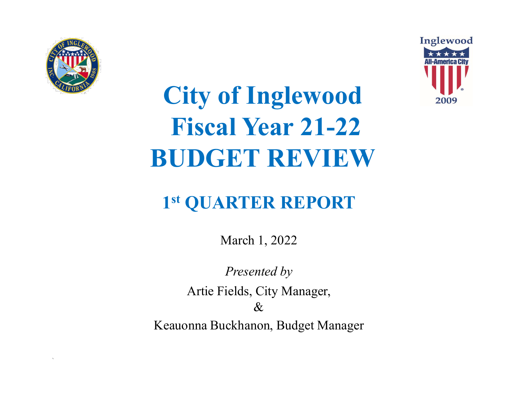

`



# City of Inglewood Fiscal Year 21-22 BUDGET REVIEW

# 1 st QUARTER REPORT

March 1, 2022

Presented by Artie Fields, City Manager, &

Keauonna Buckhanon, Budget Manager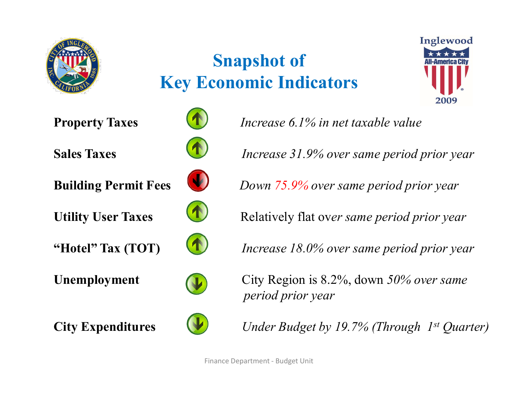

# Snapshot of Key Economic Indicators













**Property Taxes ID** *Increase 6.1% in net taxable value* 

Sales Taxes **Increase 31.9%** over same period prior year

**Building Permit Fees** Down 75.9% over same period prior year

Utility User Taxes Relatively flat over same period prior year

"Hotel" Tax  $(TOT)$  Increase 18.0% over same period prior year





City Expenditures  $Under Budget by 19.7\% (Through 1<sup>st</sup> Quarterly)$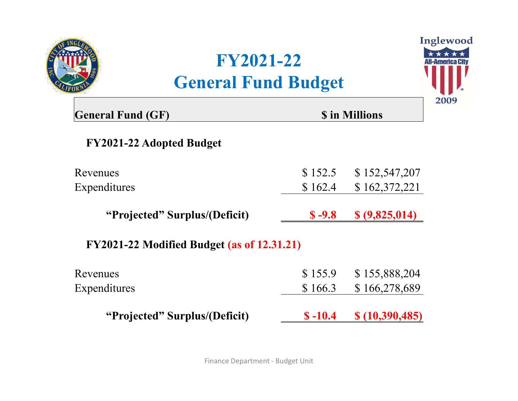

# FY2021-22 General Fund Budget



| FY2021-22<br><b>General Fund Budget</b>           |           | Inglewood             |
|---------------------------------------------------|-----------|-----------------------|
| <b>General Fund (GF)</b>                          |           | <b>\$</b> in Millions |
| <b>FY2021-22 Adopted Budget</b>                   |           |                       |
| Revenues                                          | \$152.5   | \$152,547,207         |
| Expenditures                                      | \$162.4   | \$162,372,221         |
| "Projected" Surplus/(Deficit)                     | $$ -9.8$  | \$ (9,825,014)        |
| <b>FY2021-22 Modified Budget (as of 12.31.21)</b> |           |                       |
| Revenues                                          | \$155.9   | \$155,888,204         |
| Expenditures                                      | \$166.3   | \$166,278,689         |
| "Projected" Surplus/(Deficit)                     | $$ -10.4$ | \$(10,390,485)        |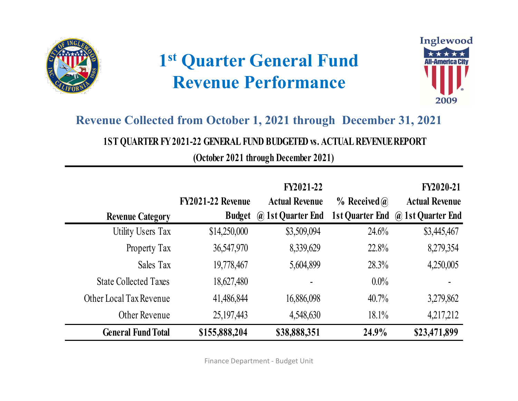

# 1 st Quarter General Fund Revenue Performance



#### Revenue Collected from October 1, 2021 through December 31, 2021

|                              | 1 <sup>st</sup> Quarter General Fund<br><b>Revenue Performance</b><br><b>Revenue Collected from October 1, 2021 through December 31, 2021</b><br>1ST QUARTER FY 2021-22 GENERAL FUND BUDGETED vs. ACTUAL REVENUE REPORT<br>(October 2021 through December 2021) |                                           | Inglewood<br><b>All-America Cit</b><br>2009 |                                           |  |  |
|------------------------------|-----------------------------------------------------------------------------------------------------------------------------------------------------------------------------------------------------------------------------------------------------------------|-------------------------------------------|---------------------------------------------|-------------------------------------------|--|--|
|                              | FY2021-22 Revenue                                                                                                                                                                                                                                               | <b>FY2021-22</b><br><b>Actual Revenue</b> | $%$ Received $\omega$                       | <b>FY2020-21</b><br><b>Actual Revenue</b> |  |  |
| <b>Revenue Category</b>      |                                                                                                                                                                                                                                                                 | <b>Budget</b> @ 1st Quarter End           |                                             | 1st Quarter End @ 1st Quarter End         |  |  |
| Utility Users Tax            | \$14,250,000                                                                                                                                                                                                                                                    | \$3,509,094                               | 24.6%                                       | \$3,445,467                               |  |  |
| Property Tax                 | 36,547,970                                                                                                                                                                                                                                                      | 8,339,629                                 | 22.8%                                       | 8,279,354                                 |  |  |
| Sales Tax                    | 19,778,467                                                                                                                                                                                                                                                      | 5,604,899                                 | 28.3%                                       | 4,250,005                                 |  |  |
| <b>State Collected Taxes</b> | 18,627,480                                                                                                                                                                                                                                                      |                                           | $0.0\%$                                     |                                           |  |  |
| Other Local Tax Revenue      | 41,486,844                                                                                                                                                                                                                                                      | 16,886,098                                | 40.7%                                       | 3,279,862                                 |  |  |
| Other Revenue                | 25, 197, 443                                                                                                                                                                                                                                                    | 4,548,630                                 | 18.1%                                       | 4,217,212                                 |  |  |
| <b>General Fund Total</b>    | \$155,888,204                                                                                                                                                                                                                                                   | \$38,888,351                              | 24.9%                                       | \$23,471,899                              |  |  |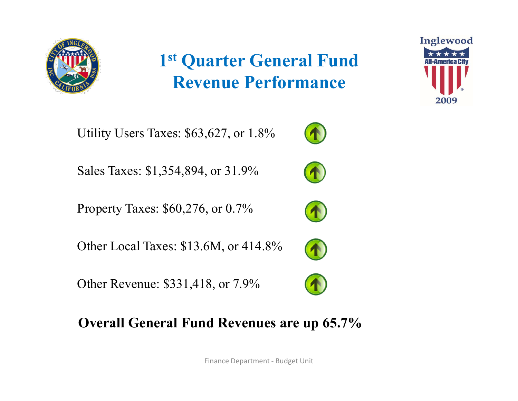

# 1 st Quarter General Fund Revenue Performance

Utility Users Taxes: \$63,627, or 1.8%

Sales Taxes: \$1,354,894, or 31.9%

Property Taxes: \$60,276, or 0.7%

Other Local Taxes: \$13.6M, or 414.8%

Other Revenue: \$331,418, or 7.9%

# Overall General Fund Revenues are up 65.7% Finance Department - Budget Unit











Inglewood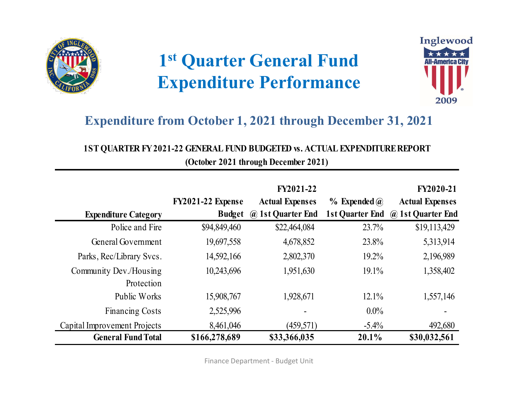

# 1 st Quarter General Fund Expenditure Performance



#### Expenditure from October 1, 2021 through December 31, 2021

### 1ST QUARTER FY 2021-22 GENERAL FUND BUDGETED vs. ACTUAL EXPENDITURE REPORT

| <b>Expenditure from October 1, 2021 through December 31, 2021</b><br>1ST QUARTER FY 2021-22 GENERAL FUND BUDGETED w. ACTUAL EXPENDITURE REPORT | 1 <sup>st</sup> Quarter General Fund<br><b>Expenditure Performance</b> | (October 2021 through December 2021)                            |                  | Inglewood<br><b>All-America City</b><br>2009                             |
|------------------------------------------------------------------------------------------------------------------------------------------------|------------------------------------------------------------------------|-----------------------------------------------------------------|------------------|--------------------------------------------------------------------------|
| <b>Expenditure Category</b>                                                                                                                    | FY2021-22 Expense                                                      | FY2021-22<br><b>Actual Expenses</b><br>Budget @ 1st Quarter End | $%$ Expended $@$ | FY2020-21<br><b>Actual Expenses</b><br>1st Quarter End @ 1st Quarter End |
| Police and Fire                                                                                                                                | \$94,849,460                                                           | \$22,464,084                                                    | 23.7%            | \$19,113,429                                                             |
| General Government                                                                                                                             | 19,697,558                                                             | 4,678,852                                                       | 23.8%            | 5,313,914                                                                |
| Parks, Rec/Library Svcs.                                                                                                                       | 14,592,166                                                             | 2,802,370                                                       | 19.2%            | 2,196,989                                                                |
| Community Dev./Housing<br>Protection                                                                                                           | 10,243,696                                                             | 1,951,630                                                       | 19.1%            | 1,358,402                                                                |
| Public Works                                                                                                                                   | 15,908,767                                                             | 1,928,671                                                       | 12.1%            | 1,557,146                                                                |
| <b>Financing Costs</b>                                                                                                                         | 2,525,996                                                              |                                                                 | $0.0\%$          |                                                                          |
| Capital Improvement Projects                                                                                                                   | 8,461,046                                                              | (459,571)                                                       | $-5.4\%$         | 492,680                                                                  |
| <b>General Fund Total</b>                                                                                                                      | \$166,278,689                                                          | \$33,366,035                                                    | $20.1\%$         | \$30,032,561                                                             |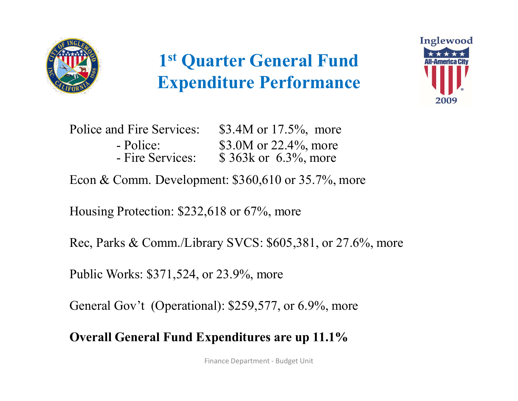

# 1<sup>st</sup> Quarter General Fund Manufacture Expenditure Performance



|                                                            | 1 <sup>st</sup> Quarter General Fund<br><b>Expenditure Performance</b>     | In |
|------------------------------------------------------------|----------------------------------------------------------------------------|----|
| Police and Fire Services:<br>- Police:<br>- Fire Services: | \$3.4M or $17.5\%$ , more<br>\$3.0M or 22.4%, more<br>\$363k or 6.3%, more |    |

Housing Protection: \$232,618 or 67%, more

Rec, Parks & Comm./Library SVCS: \$605,381, or 27.6%, more ,618 or 67%, more<br>rary SVCS: \$605,381, or 27.6%, more<br>or 23.9%, more<br>nal): \$259,577, or 6.9%, more<br>**xpenditures are up 11.1%** 

Public Works: \$371,524, or 23.9%, more

General Gov't (Operational): \$259,577, or 6.9%, more

Overall General Fund Expenditures are up 11.1%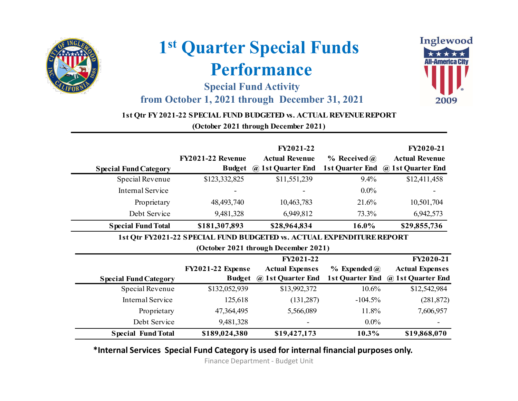

## 1 st Quarter Special Funds Performance

#### Special Fund Activity from October 1, 2021 through December 31, 2021



#### 1st Qtr FY 2021-22 SPECIAL FUND BUDGETED vs. ACTUAL REVENUE REPORT

|                              |                           | 1st Quarter Special Funds                                                                                           | <b>Performance</b><br><b>Special Fund Activity</b>             |                                     | Inglewood<br><b>All-America City</b>                                    |
|------------------------------|---------------------------|---------------------------------------------------------------------------------------------------------------------|----------------------------------------------------------------|-------------------------------------|-------------------------------------------------------------------------|
|                              |                           | from October 1, 2021 through December 31, 2021<br>1st Qtr FY 2021-22 SPECIAL FUND BUDGETED w. ACTUAL REVENUE REPORT | (October 2021 through December 2021)                           |                                     | 2009                                                                    |
| <b>Special Fund Category</b> |                           | FY2021-22 Revenue                                                                                                   | FY2021-22<br><b>Actual Revenue</b><br>Budget @ 1st Quarter End | $%$ Received $(a)$                  | FY2020-21<br><b>Actual Revenue</b><br>1st Quarter End @ 1st Quarter End |
|                              | Special Revenue           | \$123,332,825                                                                                                       | \$11,551,239                                                   | 9.4%                                | \$12,411,458                                                            |
|                              | Internal Service          |                                                                                                                     |                                                                | $0.0\%$                             |                                                                         |
|                              | Proprietary               | 48, 493, 740                                                                                                        | 10,463,783                                                     | 21.6%                               | 10,501,704                                                              |
|                              | Debt Service              | 9,481,328                                                                                                           | 6,949,812                                                      | 73.3%                               | 6,942,573                                                               |
|                              | <b>Special Fund Total</b> | \$181,307,893                                                                                                       | \$28,964,834                                                   | 16.0%                               | \$29,855,736                                                            |
|                              |                           | 1st Qtr FY2021-22 SPECIAL FUND BUDGETED vs. ACTUAL EXPENDITURE REPORT                                               | (October 2021 through December 2021)                           |                                     |                                                                         |
| <b>Special Fund Category</b> |                           | FY2021-22 Expense<br>Budget                                                                                         | FY2021-22<br><b>Actual Expenses</b><br>@ 1st Quarter End       | $%$ Expended $@$<br>1st Quarter End | FY2020-21<br><b>Actual Expenses</b><br>@ 1st Quarter End                |
|                              | Special Revenue           | \$132,052,939                                                                                                       | \$13,992,372                                                   | 10.6%                               | \$12,542,984                                                            |
|                              | Internal Service          | 125,618                                                                                                             | (131, 287)                                                     | $-104.5%$                           | (281, 872)                                                              |
|                              | Proprietary               | 47,364,495                                                                                                          | 5,566,089                                                      | 11.8%                               | 7,606,957                                                               |
|                              | Debt Service              | 9,481,328                                                                                                           |                                                                | $0.0\%$                             |                                                                         |
|                              | <b>Special Fund Total</b> | \$189,024,380                                                                                                       | \$19,427,173                                                   | 10.3%                               | \$19,868,070                                                            |

#### \*Internal Services Special Fund Category is used for internal financial purposes only.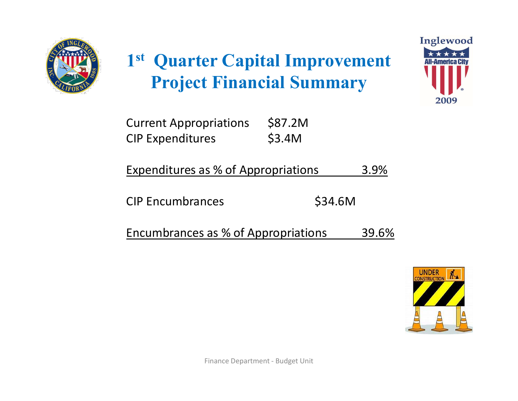

# 1<sup>st</sup> Quarter Capital Improvement Project Financial Summary 1st Quarter Capital Improvement<br>
Project Financial Summary<br>
Current Appropriations \$87.2M<br>
CIP Expenditures as % of Appropriations 3.9% 1st Quarter Capital Improvement<br>
Project Financial Summary<br>
Current Appropriations \$87.2M<br>
CIP Expenditures as % of Appropriations 3.9% 1st Quarter Capital Improvement<br>
Project Financial Summary<br>
Current Appropriations \$87.2M<br>
CIP Expenditures as % of Appropriations 3.9%<br>
CIP Encumbrances \$34.6M 1st Quarter Capital Improvement<br>
Project Financial Summary<br>
Current Appropriations \$87.2M<br>
CIP Expenditures as % of Appropriations 3.9%<br>
CIP Encumbrances as % of Appropriations 39.6%<br>
Encumbrances as % of Appropriations 39 **Project Financial Summary**<br>
Current Appropriations \$87.2M<br>
CIP Expenditures as % of Appropriations 3.9%<br>
CIP Encumbrances \$34.6M<br>
Encumbrances as % of Appropriations 39.6%



| <b>Current Appropriations</b> | \$87.2M |
|-------------------------------|---------|
| <b>CIP Expenditures</b>       | \$3.4M  |

| <b>Expenditures as % of Appropriations</b> | 3.9% |
|--------------------------------------------|------|
|--------------------------------------------|------|

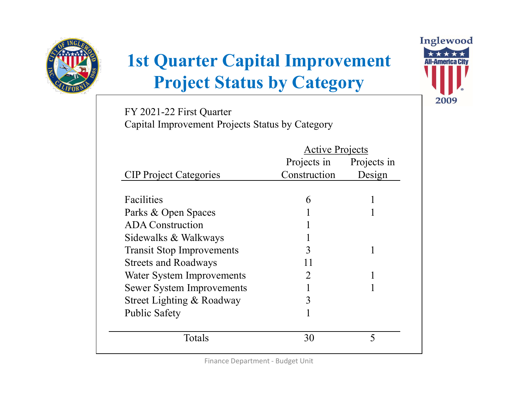

# 1st Quarter Capital Improvement Project Status by Category

| <b>1st Quarter Capital Improvement</b><br><b>Project Status by Category</b> |                        |             |
|-----------------------------------------------------------------------------|------------------------|-------------|
| FY 2021-22 First Quarter<br>Capital Improvement Projects Status by Category |                        |             |
|                                                                             | <b>Active Projects</b> |             |
|                                                                             | Projects in            | Projects in |
| <b>CIP Project Categories</b>                                               | Construction           | Design      |
| Facilities                                                                  | 6                      |             |
| Parks & Open Spaces                                                         |                        |             |
| <b>ADA</b> Construction                                                     |                        |             |
| Sidewalks & Walkways                                                        |                        |             |
| <b>Transit Stop Improvements</b>                                            | 3                      |             |
| <b>Streets and Roadways</b>                                                 | 11                     |             |
| Water System Improvements                                                   | 2                      |             |
| <b>Sewer System Improvements</b>                                            |                        |             |
| Street Lighting & Roadway                                                   | 3                      |             |
| <b>Public Safety</b>                                                        |                        |             |
| Totals                                                                      | 30                     | 5           |
|                                                                             |                        |             |